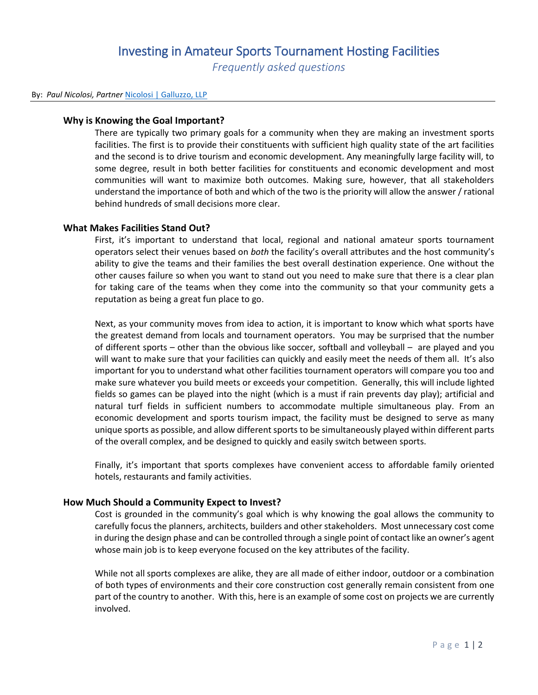## Investing in Amateur Sports Tournament Hosting Facilities *Frequently asked questions*

#### By: *Paul Nicolosi, Partner* [Nicolosi | Galluzzo, LLP](http://nicgal.com/nascsymposium/)

#### **Why is Knowing the Goal Important?**

There are typically two primary goals for a community when they are making an investment sports facilities. The first is to provide their constituents with sufficient high quality state of the art facilities and the second is to drive tourism and economic development. Any meaningfully large facility will, to some degree, result in both better facilities for constituents and economic development and most communities will want to maximize both outcomes. Making sure, however, that all stakeholders understand the importance of both and which of the two is the priority will allow the answer / rational behind hundreds of small decisions more clear.

#### **What Makes Facilities Stand Out?**

First, it's important to understand that local, regional and national amateur sports tournament operators select their venues based on *both* the facility's overall attributes and the host community's ability to give the teams and their families the best overall destination experience. One without the other causes failure so when you want to stand out you need to make sure that there is a clear plan for taking care of the teams when they come into the community so that your community gets a reputation as being a great fun place to go.

Next, as your community moves from idea to action, it is important to know which what sports have the greatest demand from locals and tournament operators. You may be surprised that the number of different sports – other than the obvious like soccer, softball and volleyball – are played and you will want to make sure that your facilities can quickly and easily meet the needs of them all. It's also important for you to understand what other facilities tournament operators will compare you too and make sure whatever you build meets or exceeds your competition. Generally, this will include lighted fields so games can be played into the night (which is a must if rain prevents day play); artificial and natural turf fields in sufficient numbers to accommodate multiple simultaneous play. From an economic development and sports tourism impact, the facility must be designed to serve as many unique sports as possible, and allow different sports to be simultaneously played within different parts of the overall complex, and be designed to quickly and easily switch between sports.

Finally, it's important that sports complexes have convenient access to affordable family oriented hotels, restaurants and family activities.

## **How Much Should a Community Expect to Invest?**

Cost is grounded in the community's goal which is why knowing the goal allows the community to carefully focus the planners, architects, builders and other stakeholders. Most unnecessary cost come in during the design phase and can be controlled through a single point of contact like an owner's agent whose main job is to keep everyone focused on the key attributes of the facility.

While not all sports complexes are alike, they are all made of either indoor, outdoor or a combination of both types of environments and their core construction cost generally remain consistent from one part of the country to another. With this, here is an example of some cost on projects we are currently involved.